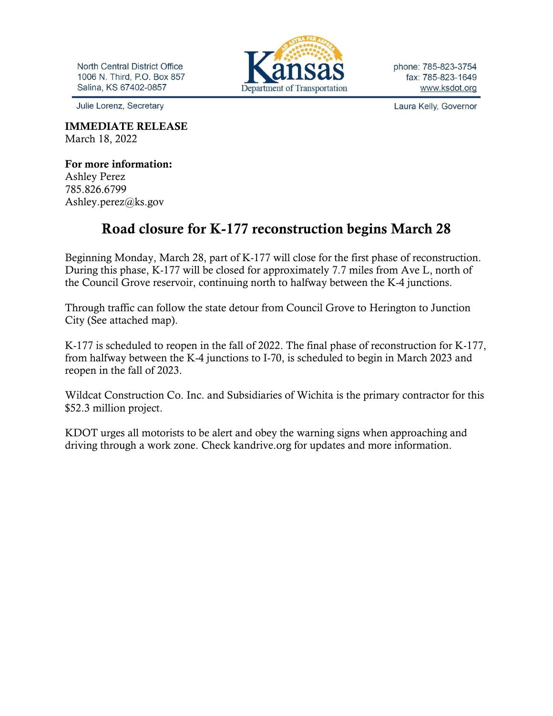**North Central District Office** 1006 N. Third, P.O. Box 857 Salina, KS 67402-0857

Julie Lorenz, Secretary

Department of Transportation

phone: 785-823-3754 fax: 785-823-1649 www.ksdot.org

Laura Kelly, Governor

IMMEDIATE RELEASE March 18, 2022

For more information: Ashley Perez 785.826.6799 Ashley.perez@ks.gov

## Road closure for K-177 reconstruction begins March 28

Beginning Monday, March 28, part of K-177 will close for the first phase of reconstruction. During this phase, K-177 will be closed for approximately 7.7 miles from Ave L, north of the Council Grove reservoir, continuing north to halfway between the K-4 junctions.

Through traffic can follow the state detour from Council Grove to Herington to Junction City (See attached map).

K-177 is scheduled to reopen in the fall of 2022. The final phase of reconstruction for K-177, from halfway between the K-4 junctions to I-70, is scheduled to begin in March 2023 and reopen in the fall of 2023.

Wildcat Construction Co. Inc. and Subsidiaries of Wichita is the primary contractor for this \$52.3 million project.

KDOT urges all motorists to be alert and obey the warning signs when approaching and driving through a work zone. Check kandrive.org for updates and more information.